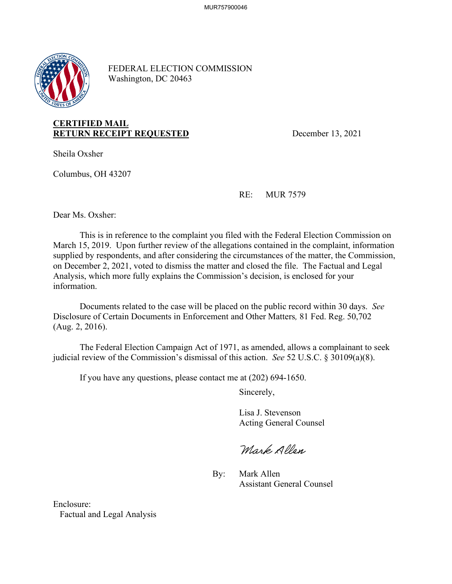

FEDERAL ELECTION COMMISSION Washington, DC 20463

## **RETURN RECEIPT REQUESTED** December 13, 2021 **CERTIFIED MAIL**

Sheila Oxsher

Columbus, OH 43207

RE: MUR 7579

Dear Ms. Oxsher:

This is in reference to the complaint you filed with the Federal Election Commission on March 15, 2019. Upon further review of the allegations contained in the complaint, information supplied by respondents, and after considering the circumstances of the matter, the Commission, on December 2, 2021, voted to dismiss the matter and closed the file. The Factual and Legal Analysis, which more fully explains the Commission's decision, is enclosed for your information.

Documents related to the case will be placed on the public record within 30 days. *See*  Disclosure of Certain Documents in Enforcement and Other Matters*,* 81 Fed. Reg. 50,702 (Aug. 2, 2016).

 judicial review of the Commission's dismissal of this action. *See* 52 U.S.C. § 30109(a)(8). The Federal Election Campaign Act of 1971, as amended, allows a complainant to seek

If you have any questions, please contact me at (202) 694-1650.

Sincerely,

**Acting General Counsel** Lisa J. Stevenson

Mark Allen Acting General Counsel<br>
Mark Allen<br>
By: Mark Allen<br>
Assistant General Counsel

Enclosure: Factual and Legal Analysis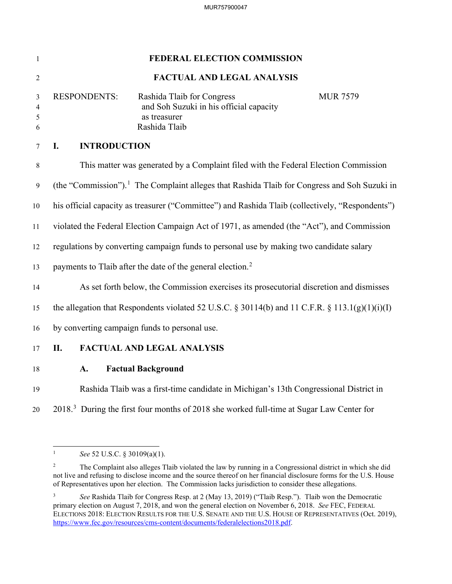| 1                | FEDERAL ELECTION COMMISSION                                                                              |                                                                                                        |                 |
|------------------|----------------------------------------------------------------------------------------------------------|--------------------------------------------------------------------------------------------------------|-----------------|
| $\overline{2}$   | <b>FACTUAL AND LEGAL ANALYSIS</b>                                                                        |                                                                                                        |                 |
| 3<br>4<br>5<br>6 | <b>RESPONDENTS:</b>                                                                                      | Rashida Tlaib for Congress<br>and Soh Suzuki in his official capacity<br>as treasurer<br>Rashida Tlaib | <b>MUR 7579</b> |
| 7                | <b>INTRODUCTION</b><br>I.                                                                                |                                                                                                        |                 |
| $\,8\,$          | This matter was generated by a Complaint filed with the Federal Election Commission                      |                                                                                                        |                 |
| 9                | (the "Commission"). <sup>1</sup> The Complaint alleges that Rashida Tlaib for Congress and Soh Suzuki in |                                                                                                        |                 |
| $10\,$           | his official capacity as treasurer ("Committee") and Rashida Tlaib (collectively, "Respondents")         |                                                                                                        |                 |
| 11               | violated the Federal Election Campaign Act of 1971, as amended (the "Act"), and Commission               |                                                                                                        |                 |
| 12               | regulations by converting campaign funds to personal use by making two candidate salary                  |                                                                                                        |                 |
| 13               | payments to Tlaib after the date of the general election. <sup>2</sup>                                   |                                                                                                        |                 |
| 14               | As set forth below, the Commission exercises its prosecutorial discretion and dismisses                  |                                                                                                        |                 |
| 15               | the allegation that Respondents violated 52 U.S.C. § 30114(b) and 11 C.F.R. § 113.1(g)(1)(i)(I)          |                                                                                                        |                 |
| 16               | by converting campaign funds to personal use.                                                            |                                                                                                        |                 |
| 17               | <b>FACTUAL AND LEGAL ANALYSIS</b><br>II.                                                                 |                                                                                                        |                 |
| 18               | A.                                                                                                       | <b>Factual Background</b>                                                                              |                 |
| 19               | Rashida Tlaib was a first-time candidate in Michigan's 13th Congressional District in                    |                                                                                                        |                 |
| 20               | 2018. <sup>3</sup> During the first four months of 2018 she worked full-time at Sugar Law Center for     |                                                                                                        |                 |

 $\mathbf{1}$ <sup>1</sup>*See* 52 U.S.C. § 30109(a)(1).

 $\sqrt{2}$ 2 The Complaint also alleges Tlaib violated the law by running in a Congressional district in which she did not live and refusing to disclose income and the source thereof on her financial disclosure forms for the U.S. House of Representatives upon her election. The Commission lacks jurisdiction to consider these allegations.

 $\sqrt{3}$  primary election on August 7, 2018, and won the general election on November 6, 2018. *See* FEC, FEDERAL <sup>3</sup>*See* Rashida Tlaib for Congress Resp. at 2 (May 13, 2019) ("Tlaib Resp."). Tlaib won the Democratic ELECTIONS 2018: ELECTION RESULTS FOR THE U.S. SENATE AND THE U.S. HOUSE OF REPRESENTATIVES (Oct. 2019), [https://www.fec.gov/resources/cms-content/documents/federalelections2018.pdf.](https://www.fec.gov/resources/cms-content/documents/federalelections2018.pdf)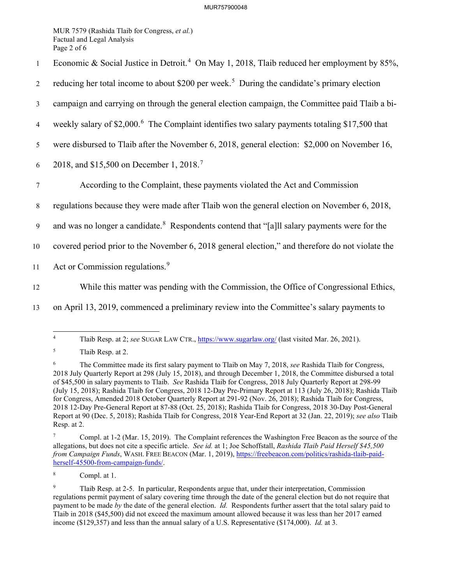Page 2 of 6 MUR 7579 (Rashida Tlaib for Congress, *et al.*) Factual and Legal Analysis

- 1 Economic & Social Justice in Detroit.<sup>4</sup> On May 1, 2018, Tlaib reduced her employment by 85%,
- 2 reducing her total income to about \$200 per week.<sup>5</sup> During the candidate's primary election
- 3 campaign and carrying on through the general election campaign, the Committee paid Tlaib a bi-
- 4 weekly salary of \$2,000.<sup>6</sup> The Complaint identifies two salary payments totaling \$17,500 that
- 5 were disbursed to Tlaib after the November 6, 2018, general election: \$2,000 on November 16,
- 6 2018, and \$15,500 on December 1, 2018.<sup>7</sup>
- 7 According to the Complaint, these payments violated the Act and Commission
- 8 regulations because they were made after Tlaib won the general election on November 6, 2018,
- 9 and was no longer a candidate.<sup>8</sup> Respondents contend that "[a]ll salary payments were for the
- 10 covered period prior to the November 6, 2018 general election," and therefore do not violate the
- 11 Act or Commission regulations.<sup>9</sup>
- 

12 While this matter was pending with the Commission, the Office of Congressional Ethics,

13 on April 13, 2019, commenced a preliminary review into the Committee's salary payments to

 $\overline{4}$ 4 Tlaib Resp. at 2; *see* SUGAR LAW CTR., [https://www.sugarlaw.org/](https://www.sugarlaw.org) (last visited Mar. 26, 2021).

 $5\overline{)}$ Tlaib Resp. at 2.

<sup>6</sup>  of \$45,500 in salary payments to Tlaib. *See* Rashida Tlaib for Congress, 2018 July Quarterly Report at 298-99 Report at 90 (Dec. 5, 2018); Rashida Tlaib for Congress, 2018 Year-End Report at 32 (Jan. 22, 2019); *see also* Tlaib 6 The Committee made its first salary payment to Tlaib on May 7, 2018, *see* Rashida Tlaib for Congress, 2018 July Quarterly Report at 298 (July 15, 2018), and through December 1, 2018, the Committee disbursed a total (July 15, 2018); Rashida Tlaib for Congress, 2018 12-Day Pre-Primary Report at 113 (July 26, 2018); Rashida Tlaib for Congress, Amended 2018 October Quarterly Report at 291-92 (Nov. 26, 2018); Rashida Tlaib for Congress, 2018 12-Day Pre-General Report at 87-88 (Oct. 25, 2018); Rashida Tlaib for Congress, 2018 30-Day Post-General Resp. at 2.

 allegations, but does not cite a specific article. *See id.* at 1; Joe Schoffstall, *Rashida Tlaib Paid Herself \$45,500*  7 Compl. at 1-2 (Mar. 15, 2019). The Complaint references the Washington Free Beacon as the source of the *from Campaign Funds*, WASH. FREE BEACON (Mar. 1, 2019),<https://freebeacon.com/politics/rashida-tlaib-paid>herself-45500-from-campaign-funds/.

 $\,$  8  $\,$ Compl. at 1.

 payment to be made *by* the date of the general election. *Id.* Respondents further assert that the total salary paid to income (\$129,357) and less than the annual salary of a U.S. Representative (\$174,000). *Id.* at 3. 9 Tlaib Resp. at 2-5. In particular, Respondents argue that, under their interpretation, Commission regulations permit payment of salary covering time through the date of the general election but do not require that Tlaib in 2018 (\$45,500) did not exceed the maximum amount allowed because it was less than her 2017 earned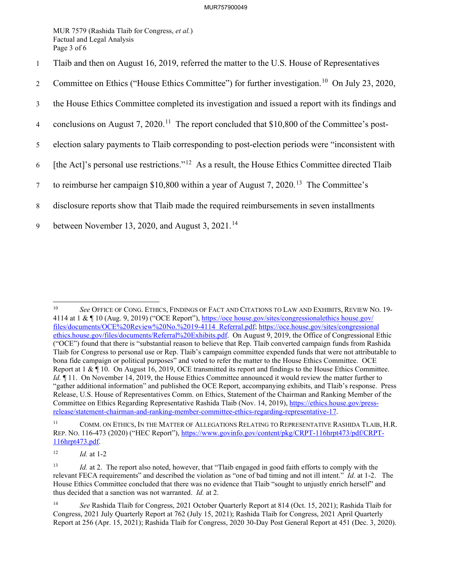Page 3 of 6 MUR 7579 (Rashida Tlaib for Congress, *et al.*) Factual and Legal Analysis

- 1 Tlaib and then on August 16, 2019, referred the matter to the U.S. House of Representatives
- 2 Committee on Ethics ("House Ethics Committee") for further [investigation.](https://investigation.10)<sup>10</sup> On July 23, 2020,
- 3 the House Ethics Committee completed its investigation and issued a report with its findings and
- 4 conclusions on August 7, 2020.<sup>11</sup> The report concluded that \$10,800 of the Committee's post-
- 5 election salary payments to Tlaib corresponding to post-election periods were "inconsistent with
- 6 [the Act]'s personal use restrictions."<sup>12</sup> As a result, the House Ethics Committee directed Tlaib
- 7 to reimburse her campaign \$10,800 within a year of August 7, 2020.<sup>13</sup> The Committee's
- 8 disclosure reports show that Tlaib made the required reimbursements in seven installments
- 9 between November 13, 2020, and August 3, 2021.<sup>14</sup>

 $10<sup>10</sup>$ 4114 at 1 & ¶ 10 (Aug. 9, 2019) ("OCE Report"),<https://oce> [house.gov/sites/congressionalethics](https://house.gov/sites/congressionalethics) [house.gov](https://house.gov)/ ethics.house.gov/files/documents/Referral%20Exhibits.pdf. On August 9, 2019, the Office of Congressional Ethic ("OCE") found that there is "substantial reason to believe that Rep. Tlaib converted campaign funds from Rashida bona fide campaign or political purposes" and voted to refer the matter to the House Ethics Committee. OCE Report at 1 & ¶ 10. On August 16, 2019, OCE transmitted its report and findings to the House Ethics Committee. *Id.*  $\P$  11. On November 14, 2019, the House Ethics Committee announced it would review the matter further to <sup>10</sup>*See* OFFICE OF CONG. ETHICS, FINDINGS OF FACT AND CITATIONS TO LAW AND EXHIBITS, REVIEW NO. 19 files/documents/OCE%20Review%20No.%2019-4114 Referral.pdf; <https://oce.house.gov/sites/congressional> Tlaib for Congress to personal use or Rep. Tlaib's campaign committee expended funds that were not attributable to "gather additional information" and published the OCE Report, accompanying exhibits, and Tlaib's response. Press Release, U.S. House of Representatives Comm. on Ethics, Statement of the Chairman and Ranking Member of the Committee on Ethics Regarding Representative Rashida Tlaib (Nov. 14, 2019),<https://ethics.house.gov/press>release/statement-chairman-and-ranking-member-committee-ethics-regarding-representative-17.

 $11\,$ COMM. ON ETHICS, IN THE MATTER OF ALLEGATIONS RELATING TO REPRESENTATIVE RASHIDA TLAIB, H.R. REP. NO. 116-473 (2020) ("HEC Report"), <https://www.govinfo.gov/content/pkg/CRPT-116hrpt473/pdf/CRPT>-116hrpt473.pdf.

 $12$ <sup>12</sup>*Id.* at 1-2

 $13$  relevant FECA requirements" and described the violation as "one of bad timing and not ill intent." *Id.* at 1-2. The thus decided that a sanction was not warranted. *Id.* at 2. Id. at 2. The report also noted, however, that "Tlaib engaged in good faith efforts to comply with the House Ethics Committee concluded that there was no evidence that Tlaib "sought to unjustly enrich herself" and

 $14$  Report at 256 (Apr. 15, 2021); Rashida Tlaib for Congress, 2020 30-Day Post General Report at 451 (Dec. 3, 2020). <sup>14</sup>*See* Rashida Tlaib for Congress, 2021 October Quarterly Report at 814 (Oct. 15, 2021); Rashida Tlaib for Congress, 2021 July Quarterly Report at 762 (July 15, 2021); Rashida Tlaib for Congress, 2021 April Quarterly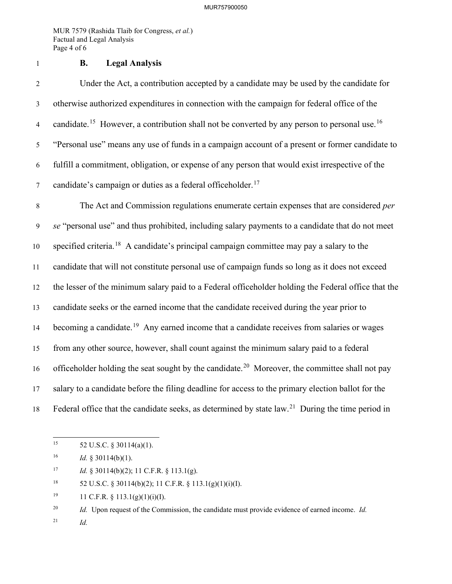Page 4 of 6 MUR 7579 (Rashida Tlaib for Congress, *et al.*) Factual and Legal Analysis

1 **B. Legal Analysis** 

4 [candidate.](https://candidate.15)<sup>15</sup> However, a contribution shall not be converted by any person to personal use.<sup>16</sup> 5 "Personal use" means any use of funds in a campaign account of a present or former candidate to 7 candidate's campaign or duties as a federal [officeholder.](https://officeholder.17)<sup>17</sup> 2 Under the Act, a contribution accepted by a candidate may be used by the candidate for 3 otherwise authorized expenditures in connection with the campaign for federal office of the 6 fulfill a commitment, obligation, or expense of any person that would exist irrespective of the

10 specified [criteria.](https://criteria.18)<sup>18</sup> A candidate's principal campaign committee may pay a salary to the 14 becoming a [candidate.](https://candidate.19)<sup>19</sup> Any earned income that a candidate receives from salaries or wages 17 salary to a candidate before the filing deadline for access to the primary election ballot for the 8 The Act and Commission regulations enumerate certain expenses that are considered *per*  9 *se* "personal use" and thus prohibited, including salary payments to a candidate that do not meet 11 candidate that will not constitute personal use of campaign funds so long as it does not exceed 12 the lesser of the minimum salary paid to a Federal officeholder holding the Federal office that the 13 candidate seeks or the earned income that the candidate received during the year prior to 15 from any other source, however, shall count against the minimum salary paid to a federal 16 officeholder holding the seat sought by the [candidate.](https://candidate.20)<sup>20</sup> Moreover, the committee shall not pay 18 Federal office that the candidate seeks, as determined by state  $law<sup>21</sup>$  During the time period in

- 17 Id. § 30114(b)(2); 11 C.F.R. § 113.1(g).
- $18\,$ 52 U.S.C. § 30114(b)(2); 11 C.F.R. § 113.1(g)(1)(i)(I).
- 19 11 C.F.R.  $\S$  113.1(g)(1)(i)(I).

 $20\,$ <sup>20</sup>*Id.* Upon request of the Commission, the candidate must provide evidence of earned income. *Id.* 

 $21$ *Id.* 

 $15\,$ 52 U.S.C. § 30114(a)(1).

<sup>16</sup> <sup>16</sup>*Id.* § 30114(b)(1).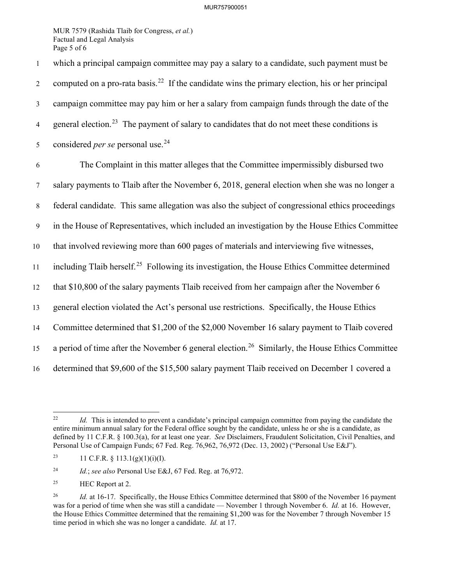Page 5 of 6 MUR 7579 (Rashida Tlaib for Congress, *et al.*) Factual and Legal Analysis

2 computed on a pro-rata [basis.](https://basis.22)<sup>22</sup> If the candidate wins the primary election, his or her principal 1 which a principal campaign committee may pay a salary to a candidate, such payment must be 3 campaign committee may pay him or her a salary from campaign funds through the date of the 4 general [election.](https://election.23)<sup>23</sup> The payment of salary to candidates that do not meet these conditions is 5 considered *per se* personal use.<sup>24</sup> 6 The Complaint in this matter alleges that the Committee impermissibly disbursed two

7 salary payments to Tlaib after the November 6, 2018, general election when she was no longer a

8 federal candidate. This same allegation was also the subject of congressional ethics proceedings

9 in the House of Representatives, which included an investigation by the House Ethics Committee

10 that involved reviewing more than 600 pages of materials and interviewing five witnesses,

11 including Tlaib [herself.](https://herself.25)<sup>25</sup> Following its investigation, the House Ethics Committee determined

12 that \$10,800 of the salary payments Tlaib received from her campaign after the November 6

13 general election violated the Act's personal use restrictions. Specifically, the House Ethics

14 Committee determined that \$1,200 of the \$2,000 November 16 salary payment to Tlaib covered

15 a period of time after the November 6 general [election.](https://election.26)<sup>26</sup> Similarly, the House Ethics Committee

16 determined that \$9,600 of the \$15,500 salary payment Tlaib received on December 1 covered a

 $22$  defined by 11 C.F.R. § 100.3(a), for at least one year. *See* Disclaimers, Fraudulent Solicitation, Civil Penalties, and Personal Use of Campaign Funds; 67 Fed. Reg. 76,962, 76,972 (Dec. 13, 2002) ("Personal Use E&J"). Id. This is intended to prevent a candidate's principal campaign committee from paying the candidate the entire minimum annual salary for the Federal office sought by the candidate, unless he or she is a candidate, as

<sup>23</sup> 11 C.F.R.  $\S$  113.1(g)(1)(i)(I).

 $24\,$ <sup>24</sup>*Id.*; *see also* Personal Use E&J, 67 Fed. Reg. at 76,972.

 $25\,$ HEC Report at 2.

 $26\,$  was for a period of time when she was still a candidate — November 1 through November 6. *Id.* at 16. However, time period in which she was no longer a candidate. *Id.* at 17. Id. at 16-17. Specifically, the House Ethics Committee determined that \$800 of the November 16 payment the House Ethics Committee determined that the remaining \$1,200 was for the November 7 through November 15